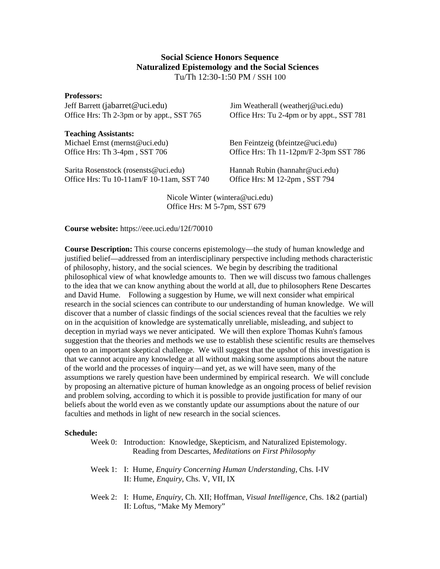## **Social Science Honors Sequence Naturalized Epistemology and the Social Sciences**  Tu/Th 12:30-1:50 PM / SSH 100

**Professors:**  Jeff Barrett (jabarret@uci.edu) Jim Weatherall (weatherj@uci.edu)

**Teaching Assistants:** 

Sarita Rosenstock (rosensts@uci.edu) Hannah Rubin (hannahr@uci.edu) Office Hrs: Tu 10-11am/F 10-11am, SST 740 Office Hrs: M 12-2pm , SST 794

Office Hrs: Th 2-3pm or by appt., SST 765 Office Hrs: Tu 2-4pm or by appt., SST 781

Michael Ernst (mernst@uci.edu) Ben Feintzeig (bfeintze@uci.edu) Office Hrs: Th 3-4pm, SST 706 Office Hrs: Th 11-12pm/F 2-3pm SST 786

Nicole Winter (wintera@uci.edu) Office Hrs: M 5-7pm, SST 679

**Course website:** https://eee.uci.edu/12f/70010

**Course Description:** This course concerns epistemology—the study of human knowledge and justified belief—addressed from an interdisciplinary perspective including methods characteristic of philosophy, history, and the social sciences. We begin by describing the traditional philosophical view of what knowledge amounts to. Then we will discuss two famous challenges to the idea that we can know anything about the world at all, due to philosophers Rene Descartes and David Hume. Following a suggestion by Hume, we will next consider what empirical research in the social sciences can contribute to our understanding of human knowledge. We will discover that a number of classic findings of the social sciences reveal that the faculties we rely on in the acquisition of knowledge are systematically unreliable, misleading, and subject to deception in myriad ways we never anticipated. We will then explore Thomas Kuhn's famous suggestion that the theories and methods we use to establish these scientific results are themselves open to an important skeptical challenge. We will suggest that the upshot of this investigation is that we cannot acquire any knowledge at all without making some assumptions about the nature of the world and the processes of inquiry—and yet, as we will have seen, many of the assumptions we rarely question have been undermined by empirical research. We will conclude by proposing an alternative picture of human knowledge as an ongoing process of belief revision and problem solving, according to which it is possible to provide justification for many of our beliefs about the world even as we constantly update our assumptions about the nature of our faculties and methods in light of new research in the social sciences.

## **Schedule:**

| Week 0: Introduction: Knowledge, Skepticism, and Naturalized Epistemology. |
|----------------------------------------------------------------------------|
| Reading from Descartes, <i>Meditations on First Philosophy</i>             |
|                                                                            |

- Week 1: I: Hume, *Enquiry Concerning Human Understanding*, Chs. I-IV II: Hume, *Enquiry*, Chs. V, VII, IX
- Week 2: I: Hume, *Enquiry*, Ch. XII; Hoffman, *Visual Intelligence*, Chs. 1&2 (partial) II: Loftus, "Make My Memory"